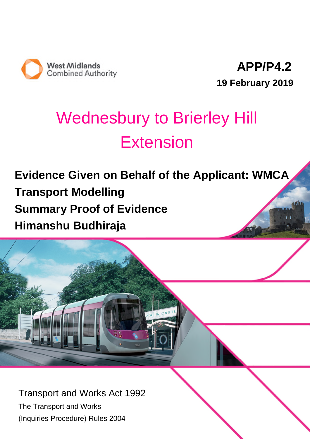

**APP/P4.2 19 February 2019**

# Wednesbury to Brierley Hill **Extension**

**Evidence Given on Behalf of the Applicant: WMCA Transport Modelling Summary Proof of Evidence Himanshu Budhiraja**



Transport and Works Act 1992 The Transport and Works (Inquiries Procedure) Rules 2004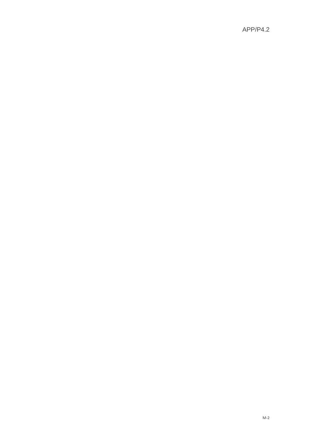APP/P4.2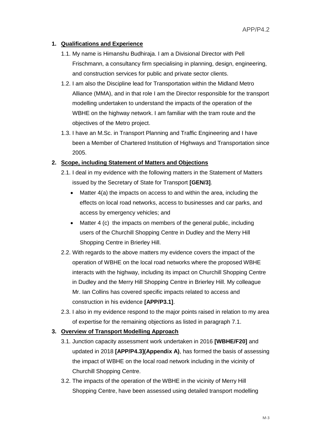## **1. Qualifications and Experience**

- 1.1. My name is Himanshu Budhiraja. I am a Divisional Director with Pell Frischmann, a consultancy firm specialising in planning, design, engineering, and construction services for public and private sector clients.
- 1.2. I am also the Discipline lead for Transportation within the Midland Metro Alliance (MMA), and in that role I am the Director responsible for the transport modelling undertaken to understand the impacts of the operation of the WBHE on the highway network. I am familiar with the tram route and the objectives of the Metro project.
- 1.3. I have an M.Sc. in Transport Planning and Traffic Engineering and I have been a Member of Chartered Institution of Highways and Transportation since 2005.

## **2. Scope, including Statement of Matters and Objections**

- 2.1. I deal in my evidence with the following matters in the Statement of Matters issued by the Secretary of State for Transport **[GEN/3]**.
	- Matter 4(a) the impacts on access to and within the area, including the effects on local road networks, access to businesses and car parks, and access by emergency vehicles; and
	- Matter 4 (c) the impacts on members of the general public, including users of the Churchill Shopping Centre in Dudley and the Merry Hill Shopping Centre in Brierley Hill.
- 2.2. With regards to the above matters my evidence covers the impact of the operation of WBHE on the local road networks where the proposed WBHE interacts with the highway, including its impact on Churchill Shopping Centre in Dudley and the Merry Hill Shopping Centre in Brierley Hill. My colleague Mr. Ian Collins has covered specific impacts related to access and construction in his evidence **[APP/P3.1]**.
- 2.3. I also in my evidence respond to the major points raised in relation to my area of expertise for the remaining objections as listed in paragraph 7.1.

## **3. Overview of Transport Modelling Approach**

- 3.1. Junction capacity assessment work undertaken in 2016 **[WBHE/F20]** and updated in 2018 **[APP/P4.3](Appendix A)**, has formed the basis of assessing the impact of WBHE on the local road network including in the vicinity of Churchill Shopping Centre.
- 3.2. The impacts of the operation of the WBHE in the vicinity of Merry Hill Shopping Centre, have been assessed using detailed transport modelling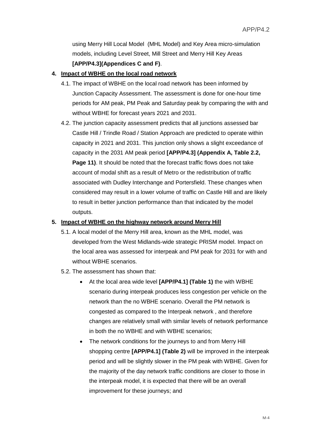using Merry Hill Local Model (MHL Model) and Key Area micro-simulation models, including Level Street, Mill Street and Merry Hill Key Areas **[APP/P4.3](Appendices C and F)**.

## **4. Impact of WBHE on the local road network**

- 4.1. The impact of WBHE on the local road network has been informed by Junction Capacity Assessment. The assessment is done for one-hour time periods for AM peak, PM Peak and Saturday peak by comparing the with and without WBHE for forecast years 2021 and 2031.
- 4.2. The junction capacity assessment predicts that all junctions assessed bar Castle Hill / Trindle Road / Station Approach are predicted to operate within capacity in 2021 and 2031. This junction only shows a slight exceedance of capacity in the 2031 AM peak period **[APP/P4.3] (Appendix A, Table 2.2, Page 11).** It should be noted that the forecast traffic flows does not take account of modal shift as a result of Metro or the redistribution of traffic associated with Dudley Interchange and Portersfield. These changes when considered may result in a lower volume of traffic on Castle Hill and are likely to result in better junction performance than that indicated by the model outputs.

#### **5. Impact of WBHE on the highway network around Merry Hill**

- 5.1. A local model of the Merry Hill area, known as the MHL model, was developed from the West Midlands-wide strategic PRISM model. Impact on the local area was assessed for interpeak and PM peak for 2031 for with and without WBHE scenarios.
- 5.2. The assessment has shown that:
	- At the local area wide level **[APP/P4.1] (Table 1)** the with WBHE scenario during interpeak produces less congestion per vehicle on the network than the no WBHE scenario. Overall the PM network is congested as compared to the Interpeak network , and therefore changes are relatively small with similar levels of network performance in both the no WBHE and with WBHE scenarios;
	- The network conditions for the journeys to and from Merry Hill shopping centre **[APP/P4.1] (Table 2)** will be improved in the interpeak period and will be slightly slower in the PM peak with WBHE. Given for the majority of the day network traffic conditions are closer to those in the interpeak model, it is expected that there will be an overall improvement for these journeys; and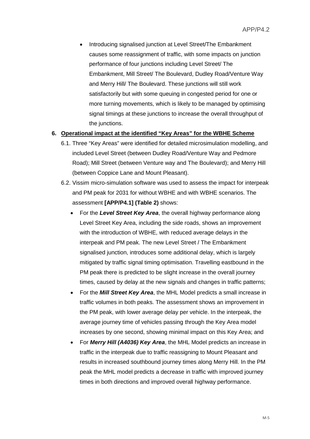• Introducing signalised junction at Level Street/The Embankment causes some reassignment of traffic, with some impacts on junction performance of four junctions including Level Street/ The Embankment, Mill Street/ The Boulevard, Dudley Road/Venture Way and Merry Hill/ The Boulevard. These junctions will still work satisfactorily but with some queuing in congested period for one or more turning movements, which is likely to be managed by optimising signal timings at these junctions to increase the overall throughput of the junctions.

#### **6. Operational impact at the identified "Key Areas" for the WBHE Scheme**

- 6.1. Three "Key Areas" were identified for detailed microsimulation modelling, and included Level Street (between Dudley Road/Venture Way and Pedmore Road); Mill Street (between Venture way and The Boulevard); and Merry Hill (between Coppice Lane and Mount Pleasant).
- 6.2. Vissim micro-simulation software was used to assess the impact for interpeak and PM peak for 2031 for without WBHE and with WBHE scenarios. The assessment **[APP/P4.1] (Table 2)** shows:
	- For the Level Street Key Area, the overall highway performance along Level Street Key Area, including the side roads, shows an improvement with the introduction of WBHE, with reduced average delays in the interpeak and PM peak. The new Level Street / The Embankment signalised junction, introduces some additional delay, which is largely mitigated by traffic signal timing optimisation. Travelling eastbound in the PM peak there is predicted to be slight increase in the overall journey times, caused by delay at the new signals and changes in traffic patterns;
	- For the *Mill Street Key Area*, the MHL Model predicts a small increase in traffic volumes in both peaks. The assessment shows an improvement in the PM peak, with lower average delay per vehicle. In the interpeak, the average journey time of vehicles passing through the Key Area model increases by one second, showing minimal impact on this Key Area; and
	- For *Merry Hill (A4036) Key Area*, the MHL Model predicts an increase in traffic in the interpeak due to traffic reassigning to Mount Pleasant and results in increased southbound journey times along Merry Hill. In the PM peak the MHL model predicts a decrease in traffic with improved journey times in both directions and improved overall highway performance.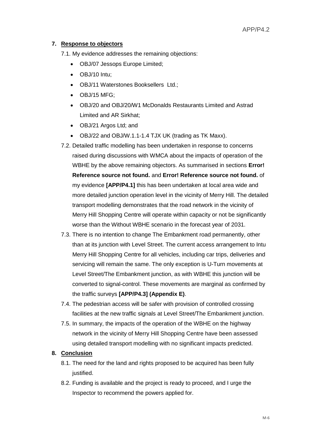## **7. Response to objectors**

7.1. My evidence addresses the remaining objections:

- OBJ/07 Jessops Europe Limited;
- OBJ/10 Intu;
- OBJ/11 Waterstones Booksellers Ltd.;
- OBJ/15 MFG;
- OBJ/20 and OBJ/20/W1 McDonalds Restaurants Limited and Astrad Limited and AR Sirkhat;
- OBJ/21 Argos Ltd; and
- OBJ/22 and OBJ/W.1.1-1.4 TJX UK (trading as TK Maxx).
- 7.2. Detailed traffic modelling has been undertaken in response to concerns raised during discussions with WMCA about the impacts of operation of the WBHE by the above remaining objectors. As summarised in sections **Error! Reference source not found.** and **Error! Reference source not found.** of my evidence **[APP/P4.1]** this has been undertaken at local area wide and more detailed junction operation level in the vicinity of Merry Hill. The detailed transport modelling demonstrates that the road network in the vicinity of Merry Hill Shopping Centre will operate within capacity or not be significantly worse than the Without WBHE scenario in the forecast year of 2031.
- 7.3. There is no intention to change The Embankment road permanently, other than at its junction with Level Street. The current access arrangement to Intu Merry Hill Shopping Centre for all vehicles, including car trips, deliveries and servicing will remain the same. The only exception is U-Turn movements at Level Street/The Embankment junction, as with WBHE this junction will be converted to signal-control. These movements are marginal as confirmed by the traffic surveys **[APP/P4.3] (Appendix E)**.
- 7.4. The pedestrian access will be safer with provision of controlled crossing facilities at the new traffic signals at Level Street/The Embankment junction.
- 7.5. In summary, the impacts of the operation of the WBHE on the highway network in the vicinity of Merry Hill Shopping Centre have been assessed using detailed transport modelling with no significant impacts predicted.

## **8. Conclusion**

- 8.1. The need for the land and rights proposed to be acquired has been fully justified.
- 8.2. Funding is available and the project is ready to proceed, and I urge the Inspector to recommend the powers applied for.